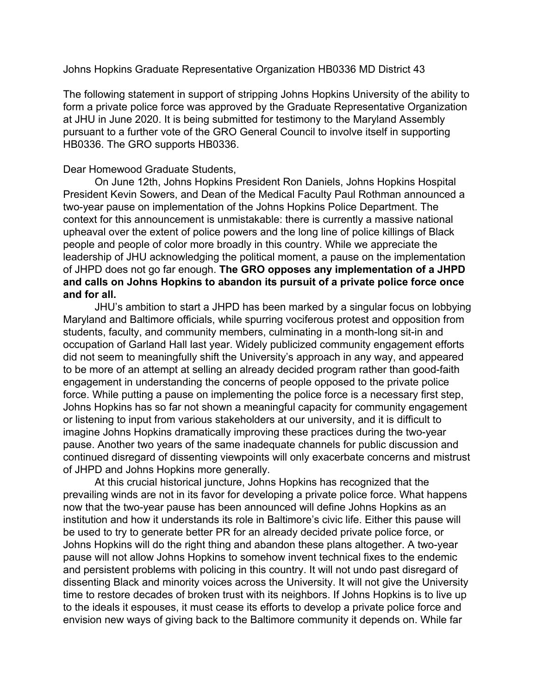Johns Hopkins Graduate Representative Organization HB0336 MD District 43

The following statement in support of stripping Johns Hopkins University of the ability to form a private police force was approved by the Graduate Representative Organization at JHU in June 2020. It is being submitted for testimony to the Maryland Assembly pursuant to a further vote of the GRO General Council to involve itself in supporting HB0336. The GRO supports HB0336.

## Dear Homewood Graduate Students,

On June 12th, Johns Hopkins President Ron Daniels, Johns Hopkins Hospital President Kevin Sowers, and Dean of the Medical Faculty Paul Rothman announced a two-year pause on implementation of the Johns Hopkins Police Department. The context for this announcement is unmistakable: there is currently a massive national upheaval over the extent of police powers and the long line of police killings of Black people and people of color more broadly in this country. While we appreciate the leadership of JHU acknowledging the political moment, a pause on the implementation of JHPD does not go far enough. **The GRO opposes any implementation of a JHPD and calls on Johns Hopkins to abandon its pursuit of a private police force once and for all.**

JHU's ambition to start a JHPD has been marked by a singular focus on lobbying Maryland and Baltimore officials, while spurring vociferous protest and opposition from students, faculty, and community members, culminating in a month-long sit-in and occupation of Garland Hall last year. Widely publicized community engagement efforts did not seem to meaningfully shift the University's approach in any way, and appeared to be more of an attempt at selling an already decided program rather than good-faith engagement in understanding the concerns of people opposed to the private police force. While putting a pause on implementing the police force is a necessary first step, Johns Hopkins has so far not shown a meaningful capacity for community engagement or listening to input from various stakeholders at our university, and it is difficult to imagine Johns Hopkins dramatically improving these practices during the two-year pause. Another two years of the same inadequate channels for public discussion and continued disregard of dissenting viewpoints will only exacerbate concerns and mistrust of JHPD and Johns Hopkins more generally.

At this crucial historical juncture, Johns Hopkins has recognized that the prevailing winds are not in its favor for developing a private police force. What happens now that the two-year pause has been announced will define Johns Hopkins as an institution and how it understands its role in Baltimore's civic life. Either this pause will be used to try to generate better PR for an already decided private police force, or Johns Hopkins will do the right thing and abandon these plans altogether. A two-year pause will not allow Johns Hopkins to somehow invent technical fixes to the endemic and persistent problems with policing in this country. It will not undo past disregard of dissenting Black and minority voices across the University. It will not give the University time to restore decades of broken trust with its neighbors. If Johns Hopkins is to live up to the ideals it espouses, it must cease its efforts to develop a private police force and envision new ways of giving back to the Baltimore community it depends on. While far